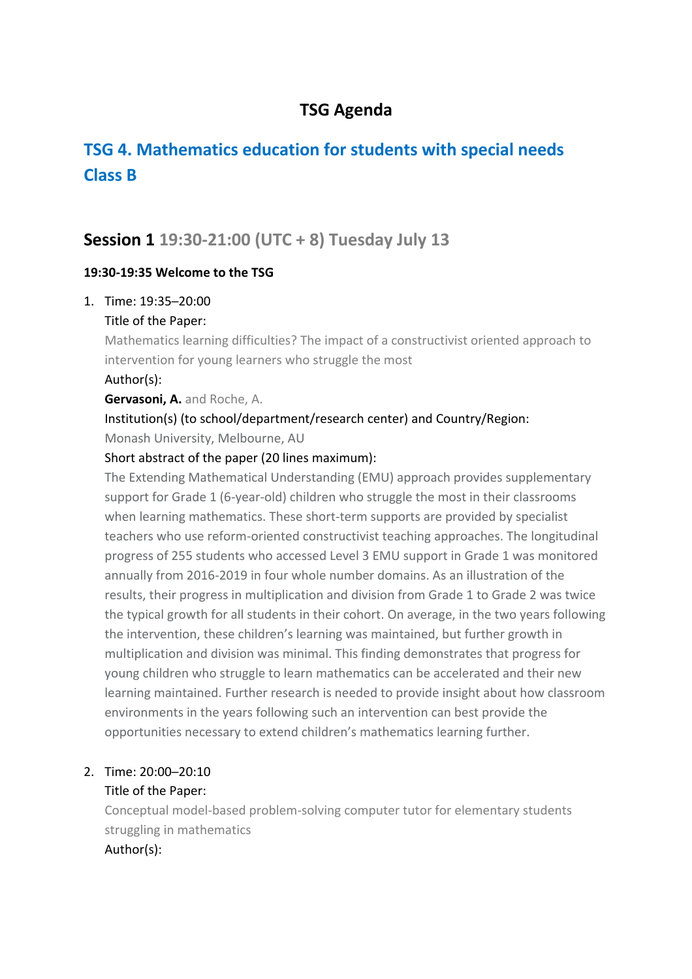# **TSG Agenda**

# **TSG 4. Mathematics education for students with special needs Class B**

# **Session 1 19:30-21:00 (UTC + 8) Tuesday July 13**

### **19:30-19:35 Welcome to the TSG**

- 1. Time: 19:35─20:00
	- Title of the Paper:

Mathematics learning difficulties? The impact of a constructivist oriented approach to intervention for young learners who struggle the most

Author(s):

**Gervasoni, A.** and Roche, A.

# Institution(s) (to school/department/research center) and Country/Region:

Monash University, Melbourne, AU

### Short abstract of the paper (20 lines maximum):

The Extending Mathematical Understanding (EMU) approach provides supplementary support for Grade 1 (6-year-old) children who struggle the most in their classrooms when learning mathematics. These short-term supports are provided by specialist teachers who use reform-oriented constructivist teaching approaches. The longitudinal progress of 255 students who accessed Level 3 EMU support in Grade 1 was monitored annually from 2016-2019 in four whole number domains. As an illustration of the results, their progress in multiplication and division from Grade 1 to Grade 2 was twice the typical growth for all students in their cohort. On average, in the two years following the intervention, these children's learning was maintained, but further growth in multiplication and division was minimal. This finding demonstrates that progress for young children who struggle to learn mathematics can be accelerated and their new learning maintained. Further research is needed to provide insight about how classroom environments in the years following such an intervention can best provide the opportunities necessary to extend children's mathematics learning further.

### 2. Time: 20:00─20:10

### Title of the Paper:

Conceptual model-based problem-solving computer tutor for elementary students struggling in mathematics Author(s):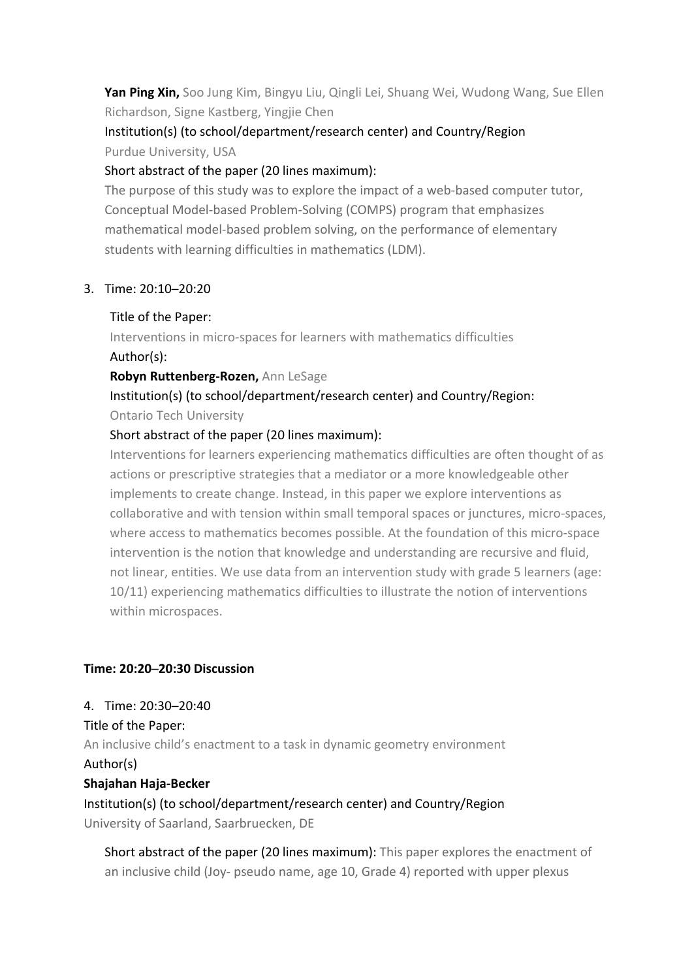**Yan Ping Xin,** Soo Jung Kim, Bingyu Liu, Qingli Lei, Shuang Wei, Wudong Wang, Sue Ellen Richardson, Signe Kastberg, Yingjie Chen

### Institution(s) (to school/department/research center) and Country/Region Purdue University, USA

### Short abstract of the paper (20 lines maximum):

The purpose of this study was to explore the impact of a web-based computer tutor, Conceptual Model-based Problem-Solving (COMPS) program that emphasizes mathematical model-based problem solving, on the performance of elementary students with learning difficulties in mathematics (LDM).

### 3. Time: 20:10─20:20

#### Title of the Paper:

Interventions in micro-spaces for learners with mathematics difficulties Author(s):

#### **Robyn Ruttenberg-Rozen,** Ann LeSage

Institution(s) (to school/department/research center) and Country/Region: Ontario Tech University

### Short abstract of the paper (20 lines maximum):

Interventions for learners experiencing mathematics difficulties are often thought of as actions or prescriptive strategies that a mediator or a more knowledgeable other implements to create change. Instead, in this paper we explore interventions as collaborative and with tension within small temporal spaces or junctures, micro-spaces, where access to mathematics becomes possible. At the foundation of this micro-space intervention is the notion that knowledge and understanding are recursive and fluid, not linear, entities. We use data from an intervention study with grade 5 learners (age: 10/11) experiencing mathematics difficulties to illustrate the notion of interventions within microspaces.

### **Time: 20:20─20:30 Discussion**

### 4. Time: 20:30─20:40

Title of the Paper: An inclusive child's enactment to a task in dynamic geometry environment Author(s) **Shajahan Haja-Becker**

Institution(s) (to school/department/research center) and Country/Region University of Saarland, Saarbruecken, DE

Short abstract of the paper (20 lines maximum): This paper explores the enactment of an inclusive child (Joy- pseudo name, age 10, Grade 4) reported with upper plexus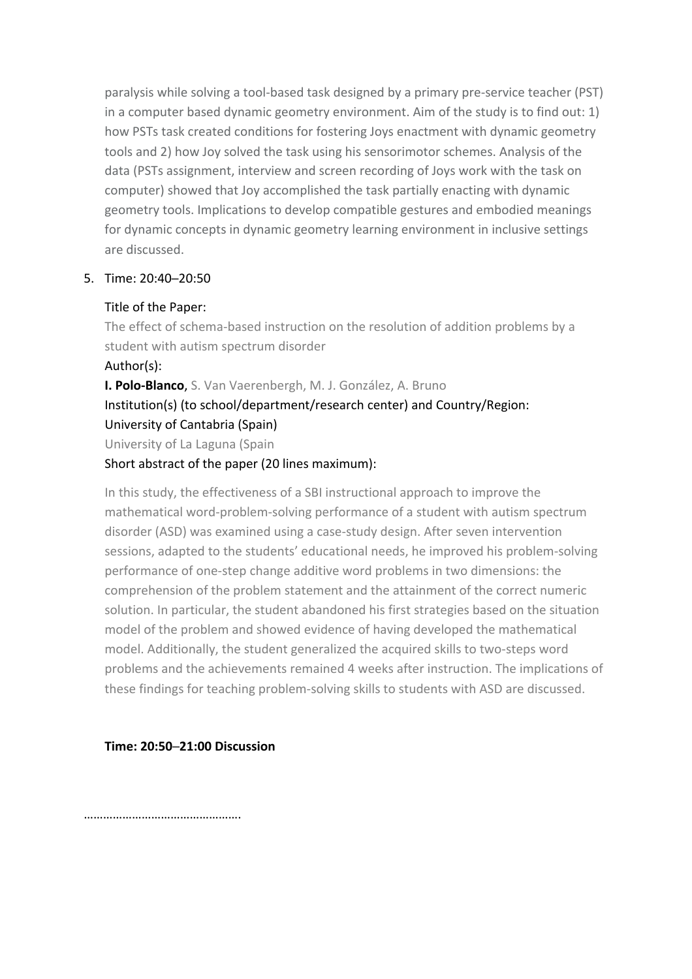paralysis while solving a tool-based task designed by a primary pre-service teacher (PST) in a computer based dynamic geometry environment. Aim of the study is to find out: 1) how PSTs task created conditions for fostering Joys enactment with dynamic geometry tools and 2) how Joy solved the task using his sensorimotor schemes. Analysis of the data (PSTs assignment, interview and screen recording of Joys work with the task on computer) showed that Joy accomplished the task partially enacting with dynamic geometry tools. Implications to develop compatible gestures and embodied meanings for dynamic concepts in dynamic geometry learning environment in inclusive settings are discussed.

#### 5. Time: 20:40─20:50

#### Title of the Paper:

The effect of schema-based instruction on the resolution of addition problems by a student with autism spectrum disorder

#### Author(s):

**I. Polo-Blanco**, S. Van Vaerenbergh, M. J. González, A. Bruno Institution(s) (to school/department/research center) and Country/Region: University of Cantabria (Spain) University of La Laguna (Spain

### Short abstract of the paper (20 lines maximum):

In this study, the effectiveness of a SBI instructional approach to improve the mathematical word-problem-solving performance of a student with autism spectrum disorder (ASD) was examined using a case-study design. After seven intervention sessions, adapted to the students' educational needs, he improved his problem-solving performance of one-step change additive word problems in two dimensions: the comprehension of the problem statement and the attainment of the correct numeric solution. In particular, the student abandoned his first strategies based on the situation model of the problem and showed evidence of having developed the mathematical model. Additionally, the student generalized the acquired skills to two-steps word problems and the achievements remained 4 weeks after instruction. The implications of these findings for teaching problem-solving skills to students with ASD are discussed.

### **Time: 20:50─21:00 Discussion**

………………………………………….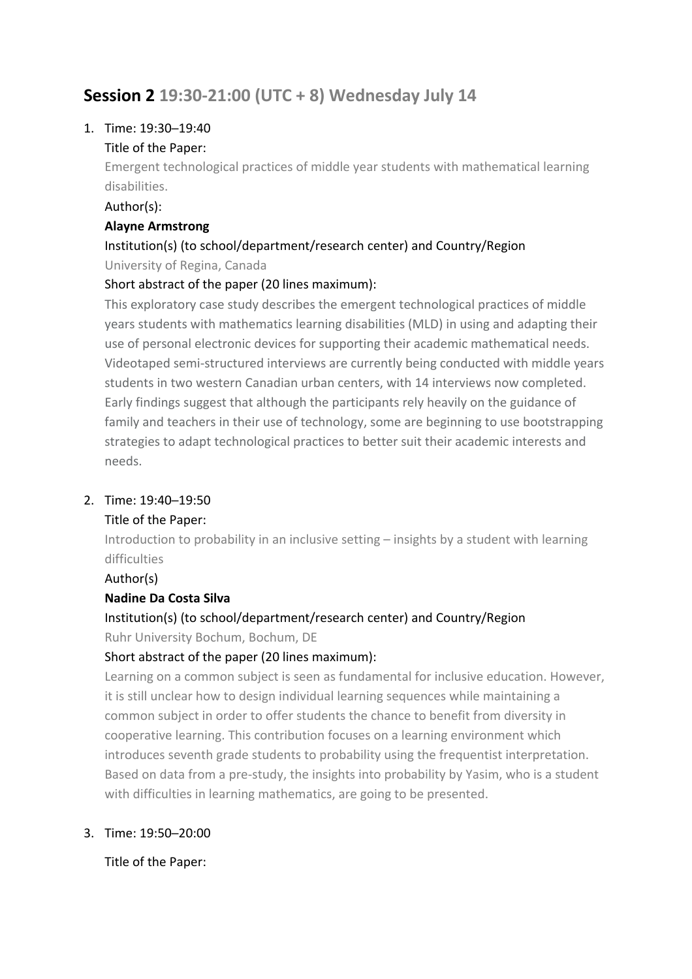# **Session 2 19:30-21:00 (UTC + 8) Wednesday July 14**

### 1. Time: 19:30─19:40

### Title of the Paper:

Emergent technological practices of middle year students with mathematical learning disabilities.

### Author(s):

### **Alayne Armstrong**

### Institution(s) (to school/department/research center) and Country/Region University of Regina, Canada

### Short abstract of the paper (20 lines maximum):

This exploratory case study describes the emergent technological practices of middle years students with mathematics learning disabilities (MLD) in using and adapting their use of personal electronic devices for supporting their academic mathematical needs. Videotaped semi-structured interviews are currently being conducted with middle years students in two western Canadian urban centers, with 14 interviews now completed. Early findings suggest that although the participants rely heavily on the guidance of family and teachers in their use of technology, some are beginning to use bootstrapping strategies to adapt technological practices to better suit their academic interests and needs.

### 2. Time: 19:40─19:50

### Title of the Paper:

Introduction to probability in an inclusive setting – insights by a student with learning difficulties

Author(s)

### **Nadine Da Costa Silva**

### Institution(s) (to school/department/research center) and Country/Region Ruhr University Bochum, Bochum, DE

### Short abstract of the paper (20 lines maximum):

Learning on a common subject is seen as fundamental for inclusive education. However, it is still unclear how to design individual learning sequences while maintaining a common subject in order to offer students the chance to benefit from diversity in cooperative learning. This contribution focuses on a learning environment which introduces seventh grade students to probability using the frequentist interpretation. Based on data from a pre-study, the insights into probability by Yasim, who is a student with difficulties in learning mathematics, are going to be presented.

### 3. Time: 19:50─20:00

Title of the Paper: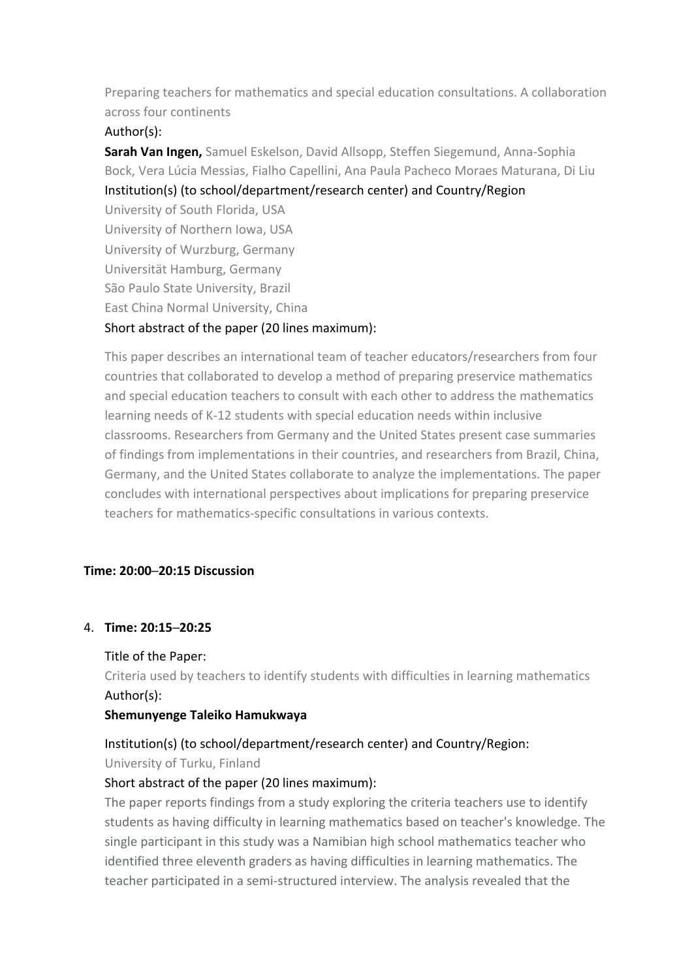Preparing teachers for mathematics and special education consultations. A collaboration across four continents

### Author(s):

**Sarah Van Ingen,** Samuel Eskelson, David Allsopp, Steffen Siegemund, Anna-Sophia Bock, Vera Lúcia Messias, Fialho Capellini, Ana Paula Pacheco Moraes Maturana, Di Liu Institution(s) (to school/department/research center) and Country/Region University of South Florida, USA University of Northern Iowa, USA University of Wurzburg, Germany Universität Hamburg, Germany São Paulo State University, Brazil East China Normal University, China Short abstract of the paper (20 lines maximum):

This paper describes an international team of teacher educators/researchers from four countries that collaborated to develop a method of preparing preservice mathematics and special education teachers to consult with each other to address the mathematics learning needs of K-12 students with special education needs within inclusive classrooms. Researchers from Germany and the United States present case summaries of findings from implementations in their countries, and researchers from Brazil, China, Germany, and the United States collaborate to analyze the implementations. The paper concludes with international perspectives about implications for preparing preservice teachers for mathematics-specific consultations in various contexts.

### **Time: 20:00─20:15 Discussion**

#### 4. **Time: 20:15─20:25**

#### Title of the Paper:

Criteria used by teachers to identify students with difficulties in learning mathematics Author(s):

#### **Shemunyenge Taleiko Hamukwaya**

### Institution(s) (to school/department/research center) and Country/Region:

University of Turku, Finland

#### Short abstract of the paper (20 lines maximum):

The paper reports findings from a study exploring the criteria teachers use to identify students as having difficulty in learning mathematics based on teacher's knowledge. The single participant in this study was a Namibian high school mathematics teacher who identified three eleventh graders as having difficulties in learning mathematics. The teacher participated in a semi-structured interview. The analysis revealed that the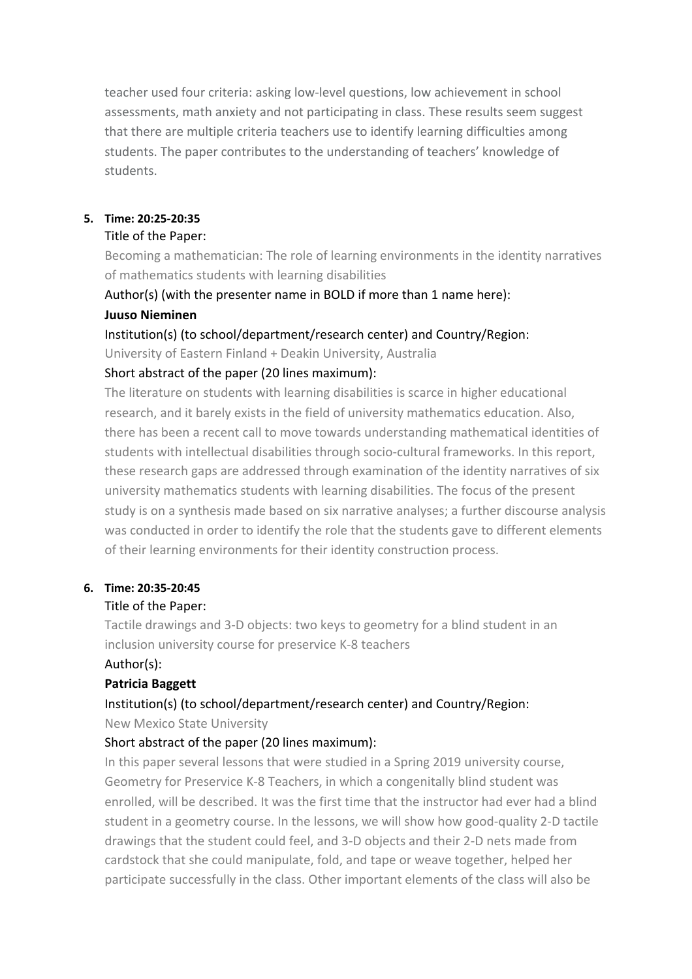teacher used four criteria: asking low-level questions, low achievement in school assessments, math anxiety and not participating in class. These results seem suggest that there are multiple criteria teachers use to identify learning difficulties among students. The paper contributes to the understanding of teachers' knowledge of students.

#### **5. Time: 20:25-20:35**

#### Title of the Paper:

Becoming a mathematician: The role of learning environments in the identity narratives of mathematics students with learning disabilities

### Author(s) (with the presenter name in BOLD if more than 1 name here): **Juuso Nieminen**

Institution(s) (to school/department/research center) and Country/Region:

University of Eastern Finland + Deakin University, Australia

#### Short abstract of the paper (20 lines maximum):

The literature on students with learning disabilities is scarce in higher educational research, and it barely exists in the field of university mathematics education. Also, there has been a recent call to move towards understanding mathematical identities of students with intellectual disabilities through socio-cultural frameworks. In this report, these research gaps are addressed through examination of the identity narratives of six university mathematics students with learning disabilities. The focus of the present study is on a synthesis made based on six narrative analyses; a further discourse analysis was conducted in order to identify the role that the students gave to different elements of their learning environments for their identity construction process.

#### **6. Time: 20:35-20:45**

#### Title of the Paper:

Tactile drawings and 3-D objects: two keys to geometry for a blind student in an inclusion university course for preservice K-8 teachers Author(s):

#### **Patricia Baggett**

### Institution(s) (to school/department/research center) and Country/Region:

New Mexico State University

#### Short abstract of the paper (20 lines maximum):

In this paper several lessons that were studied in a Spring 2019 university course, Geometry for Preservice K-8 Teachers, in which a congenitally blind student was enrolled, will be described. It was the first time that the instructor had ever had a blind student in a geometry course. In the lessons, we will show how good-quality 2-D tactile drawings that the student could feel, and 3-D objects and their 2-D nets made from cardstock that she could manipulate, fold, and tape or weave together, helped her participate successfully in the class. Other important elements of the class will also be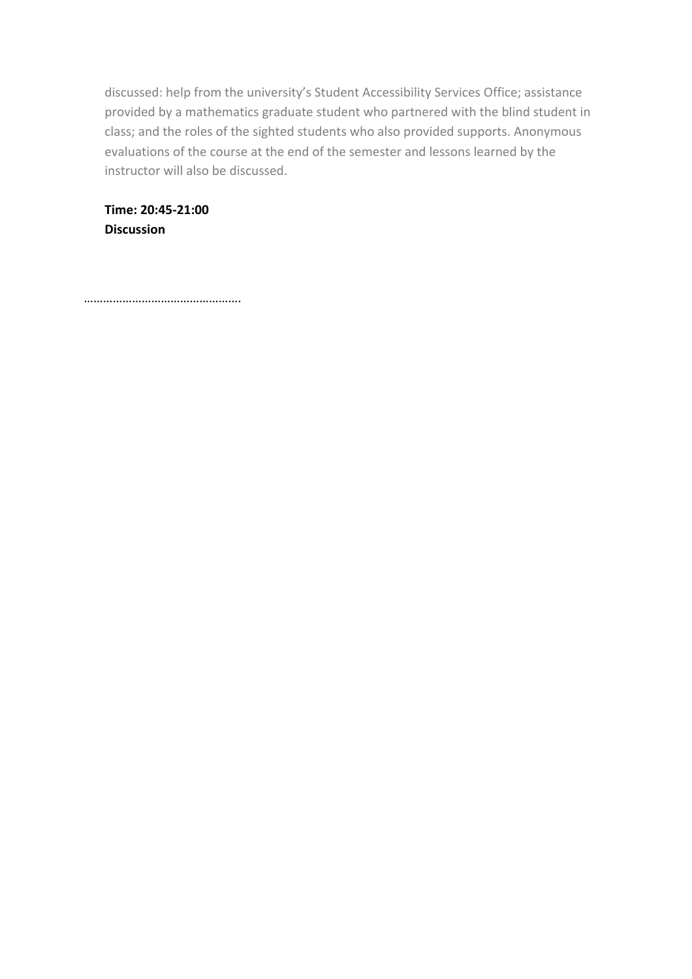discussed: help from the university's Student Accessibility Services Office; assistance provided by a mathematics graduate student who partnered with the blind student in class; and the roles of the sighted students who also provided supports. Anonymous evaluations of the course at the end of the semester and lessons learned by the instructor will also be discussed.

**Time: 20:45-21:00 Discussion**

………………………………………….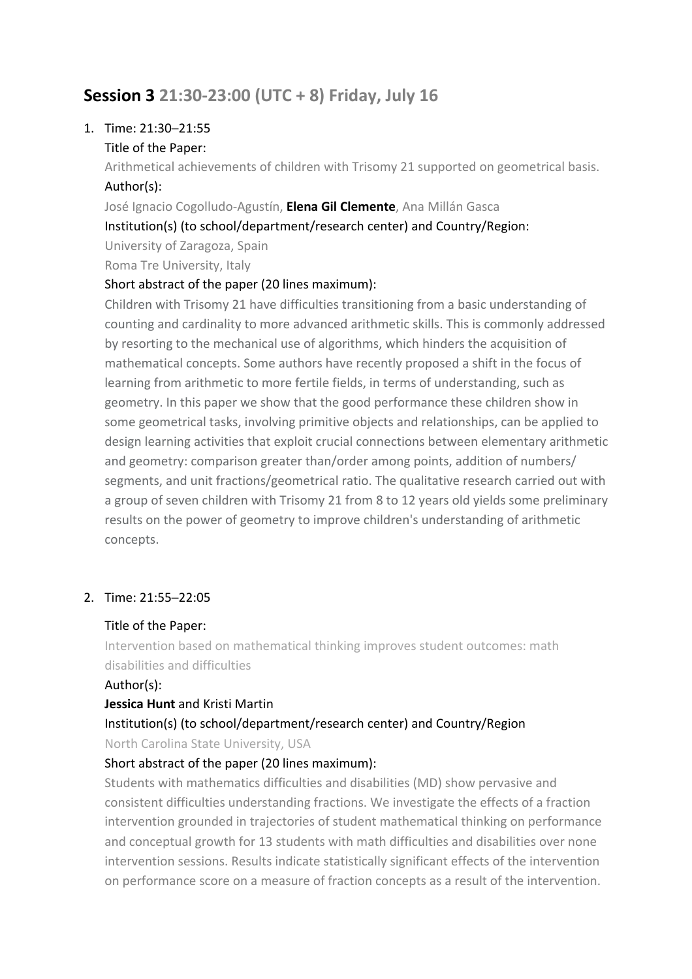# **Session 3 21:30-23:00 (UTC + 8) Friday, July 16**

### 1. Time: 21:30─21:55

### Title of the Paper:

Arithmetical achievements of children with Trisomy 21 supported on geometrical basis. Author(s):

José Ignacio Cogolludo-Agustín, **Elena Gil Clemente**, Ana Millán Gasca

Institution(s) (to school/department/research center) and Country/Region:

University of Zaragoza, Spain Roma Tre University, Italy

### Short abstract of the paper (20 lines maximum):

Children with Trisomy 21 have difficulties transitioning from a basic understanding of counting and cardinality to more advanced arithmetic skills. This is commonly addressed by resorting to the mechanical use of algorithms, which hinders the acquisition of mathematical concepts. Some authors have recently proposed a shift in the focus of learning from arithmetic to more fertile fields, in terms of understanding, such as geometry. In this paper we show that the good performance these children show in some geometrical tasks, involving primitive objects and relationships, can be applied to design learning activities that exploit crucial connections between elementary arithmetic and geometry: comparison greater than/order among points, addition of numbers/ segments, and unit fractions/geometrical ratio. The qualitative research carried out with a group of seven children with Trisomy 21 from 8 to 12 years old yields some preliminary results on the power of geometry to improve children's understanding of arithmetic concepts.

### 2. Time: 21:55─22:05

### Title of the Paper:

Intervention based on mathematical thinking improves student outcomes: math disabilities and difficulties

### Author(s):

### **Jessica Hunt** and Kristi Martin

## Institution(s) (to school/department/research center) and Country/Region

North Carolina State University, USA

### Short abstract of the paper (20 lines maximum):

Students with mathematics difficulties and disabilities (MD) show pervasive and consistent difficulties understanding fractions. We investigate the effects of a fraction intervention grounded in trajectories of student mathematical thinking on performance and conceptual growth for 13 students with math difficulties and disabilities over none intervention sessions. Results indicate statistically significant effects of the intervention on performance score on a measure of fraction concepts as a result of the intervention.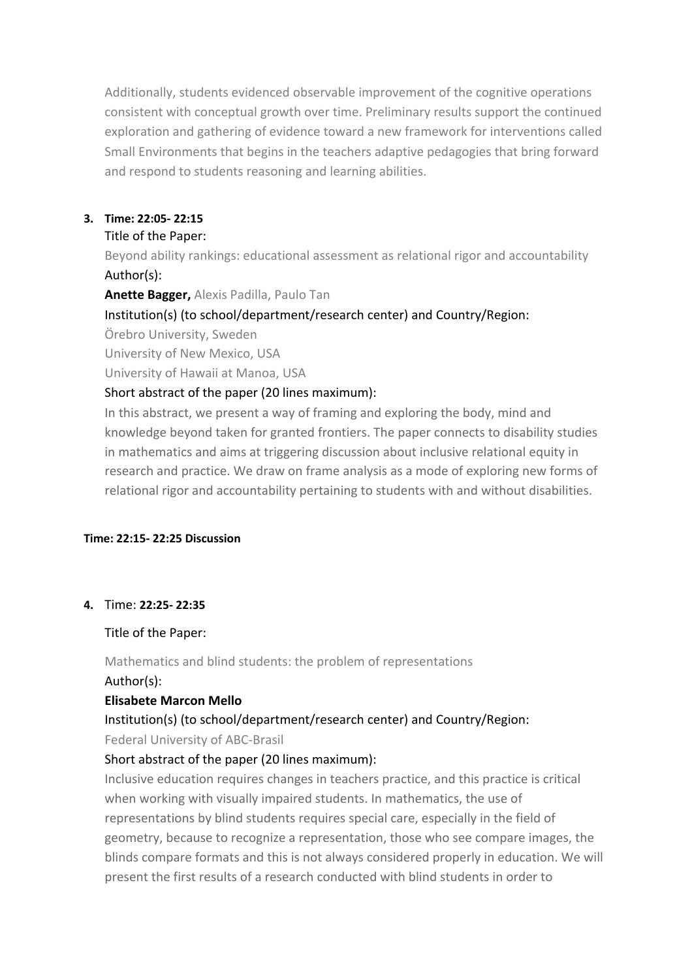Additionally, students evidenced observable improvement of the cognitive operations consistent with conceptual growth over time. Preliminary results support the continued exploration and gathering of evidence toward a new framework for interventions called Small Environments that begins in the teachers adaptive pedagogies that bring forward and respond to students reasoning and learning abilities.

#### **3. Time: 22:05- 22:15**

#### Title of the Paper:

Beyond ability rankings: educational assessment as relational rigor and accountability Author(s):

**Anette Bagger,** Alexis Padilla, Paulo Tan

Institution(s) (to school/department/research center) and Country/Region:

Örebro University, Sweden

University of New Mexico, USA

University of Hawaii at Manoa, USA

### Short abstract of the paper (20 lines maximum):

In this abstract, we present a way of framing and exploring the body, mind and knowledge beyond taken for granted frontiers. The paper connects to disability studies in mathematics and aims at triggering discussion about inclusive relational equity in research and practice. We draw on frame analysis as a mode of exploring new forms of relational rigor and accountability pertaining to students with and without disabilities.

### **Time: 22:15- 22:25 Discussion**

### **4.** Time: **22:25- 22:35**

Title of the Paper:

Mathematics and blind students: the problem of representations Author(s):

### **Elisabete Marcon Mello**

# Institution(s) (to school/department/research center) and Country/Region:

Federal University of ABC-Brasil

### Short abstract of the paper (20 lines maximum):

Inclusive education requires changes in teachers practice, and this practice is critical when working with visually impaired students. In mathematics, the use of representations by blind students requires special care, especially in the field of geometry, because to recognize a representation, those who see compare images, the blinds compare formats and this is not always considered properly in education. We will present the first results of a research conducted with blind students in order to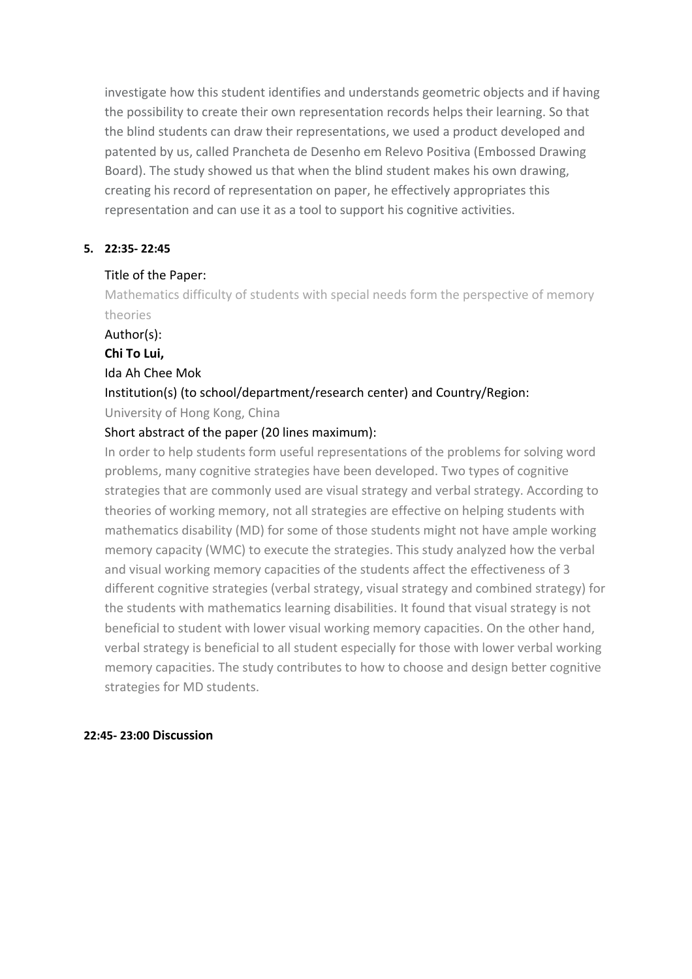investigate how this student identifies and understands geometric objects and if having the possibility to create their own representation records helps their learning. So that the blind students can draw their representations, we used a product developed and patented by us, called Prancheta de Desenho em Relevo Positiva (Embossed Drawing Board). The study showed us that when the blind student makes his own drawing, creating his record of representation on paper, he effectively appropriates this representation and can use it as a tool to support his cognitive activities.

#### **5. 22:35- 22:45**

#### Title of the Paper:

Mathematics difficulty of students with special needs form the perspective of memory theories

Author(s):

**Chi To Lui,**

#### Ida Ah Chee Mok

### Institution(s) (to school/department/research center) and Country/Region:

University of Hong Kong, China

### Short abstract of the paper (20 lines maximum):

In order to help students form useful representations of the problems for solving word problems, many cognitive strategies have been developed. Two types of cognitive strategies that are commonly used are visual strategy and verbal strategy. According to theories of working memory, not all strategies are effective on helping students with mathematics disability (MD) for some of those students might not have ample working memory capacity (WMC) to execute the strategies. This study analyzed how the verbal and visual working memory capacities of the students affect the effectiveness of 3 different cognitive strategies (verbal strategy, visual strategy and combined strategy) for the students with mathematics learning disabilities. It found that visual strategy is not beneficial to student with lower visual working memory capacities. On the other hand, verbal strategy is beneficial to all student especially for those with lower verbal working memory capacities. The study contributes to how to choose and design better cognitive strategies for MD students.

#### **22:45- 23:00 Discussion**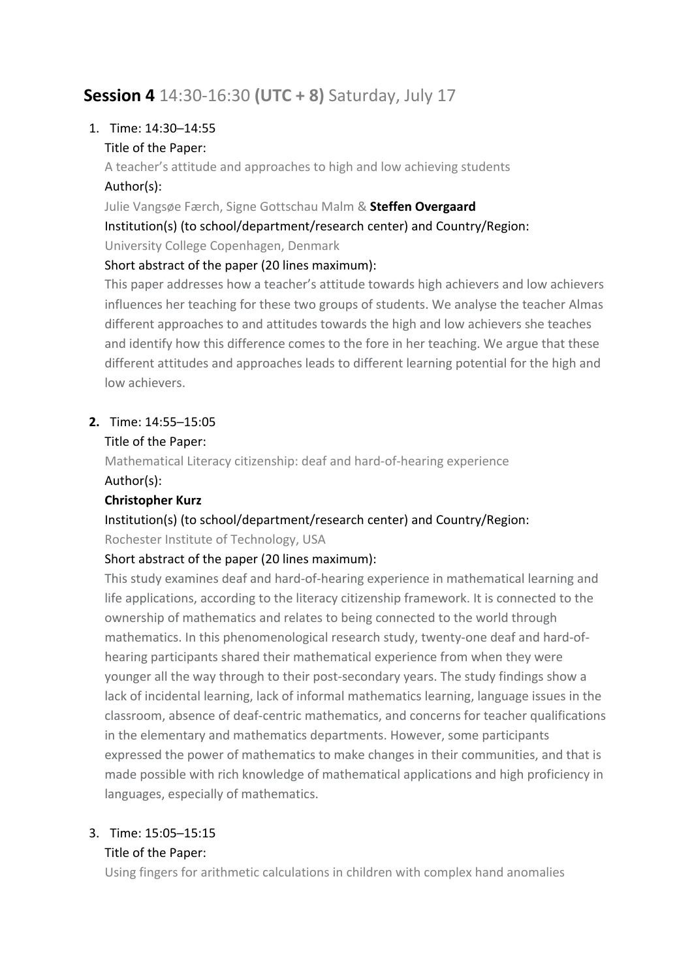# **Session 4** 14:30-16:30 **(UTC + 8)** Saturday, July 17

### 1. Time: 14:30─14:55

### Title of the Paper:

A teacher's attitude and approaches to high and low achieving students Author(s):

Julie Vangsøe Færch, Signe Gottschau Malm & **Steffen Overgaard**

Institution(s) (to school/department/research center) and Country/Region:

University College Copenhagen, Denmark

### Short abstract of the paper (20 lines maximum):

This paper addresses how a teacher's attitude towards high achievers and low achievers influences her teaching for these two groups of students. We analyse the teacher Almas different approaches to and attitudes towards the high and low achievers she teaches and identify how this difference comes to the fore in her teaching. We argue that these different attitudes and approaches leads to different learning potential for the high and low achievers.

### **2.** Time: 14:55─15:05

### Title of the Paper:

Mathematical Literacy citizenship: deaf and hard-of-hearing experience Author(s):

### **Christopher Kurz**

# Institution(s) (to school/department/research center) and Country/Region:

Rochester Institute of Technology, USA

### Short abstract of the paper (20 lines maximum):

This study examines deaf and hard-of-hearing experience in mathematical learning and life applications, according to the literacy citizenship framework. It is connected to the ownership of mathematics and relates to being connected to the world through mathematics. In this phenomenological research study, twenty-one deaf and hard-ofhearing participants shared their mathematical experience from when they were younger all the way through to their post-secondary years. The study findings show a lack of incidental learning, lack of informal mathematics learning, language issues in the classroom, absence of deaf-centric mathematics, and concerns for teacher qualifications in the elementary and mathematics departments. However, some participants expressed the power of mathematics to make changes in their communities, and that is made possible with rich knowledge of mathematical applications and high proficiency in languages, especially of mathematics.

### 3. Time: 15:05─15:15

### Title of the Paper:

Using fingers for arithmetic calculations in children with complex hand anomalies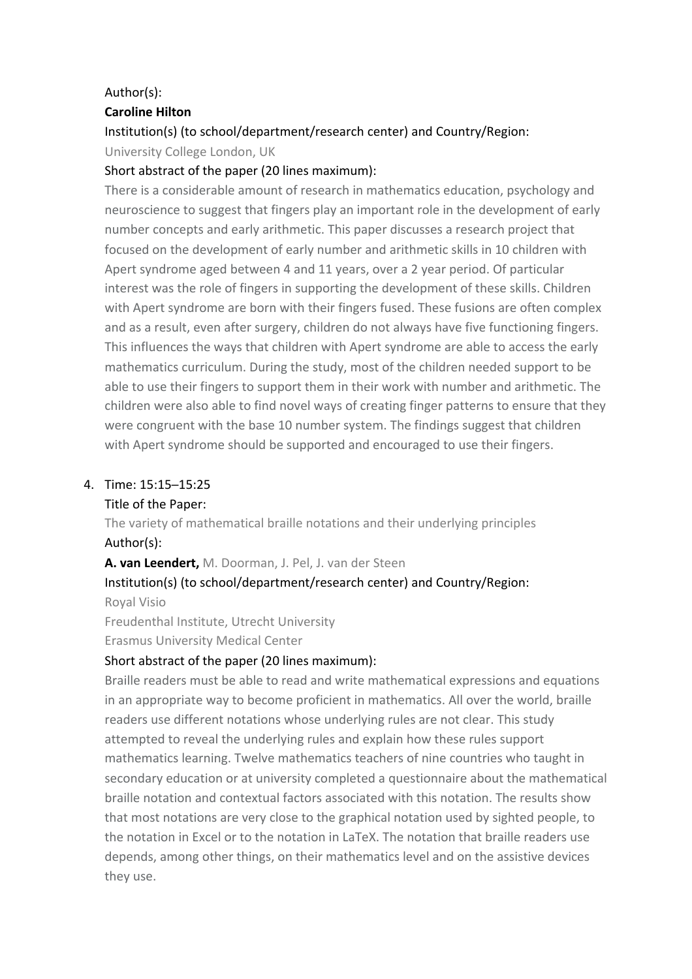### Author(s):

### **Caroline Hilton**

### Institution(s) (to school/department/research center) and Country/Region:

University College London, UK

### Short abstract of the paper (20 lines maximum):

There is a considerable amount of research in mathematics education, psychology and neuroscience to suggest that fingers play an important role in the development of early number concepts and early arithmetic. This paper discusses a research project that focused on the development of early number and arithmetic skills in 10 children with Apert syndrome aged between 4 and 11 years, over a 2 year period. Of particular interest was the role of fingers in supporting the development of these skills. Children with Apert syndrome are born with their fingers fused. These fusions are often complex and as a result, even after surgery, children do not always have five functioning fingers. This influences the ways that children with Apert syndrome are able to access the early mathematics curriculum. During the study, most of the children needed support to be able to use their fingers to support them in their work with number and arithmetic. The children were also able to find novel ways of creating finger patterns to ensure that they were congruent with the base 10 number system. The findings suggest that children with Apert syndrome should be supported and encouraged to use their fingers.

### 4. Time: 15:15─15:25

### Title of the Paper:

The variety of mathematical braille notations and their underlying principles Author(s):

**A. van Leendert,** M. Doorman, J. Pel, J. van der Steen

### Institution(s) (to school/department/research center) and Country/Region:

Royal Visio

Freudenthal Institute, Utrecht University

Erasmus University Medical Center

### Short abstract of the paper (20 lines maximum):

Braille readers must be able to read and write mathematical expressions and equations in an appropriate way to become proficient in mathematics. All over the world, braille readers use different notations whose underlying rules are not clear. This study attempted to reveal the underlying rules and explain how these rules support mathematics learning. Twelve mathematics teachers of nine countries who taught in secondary education or at university completed a questionnaire about the mathematical braille notation and contextual factors associated with this notation. The results show that most notations are very close to the graphical notation used by sighted people, to the notation in Excel or to the notation in LaTeX. The notation that braille readers use depends, among other things, on their mathematics level and on the assistive devices they use.